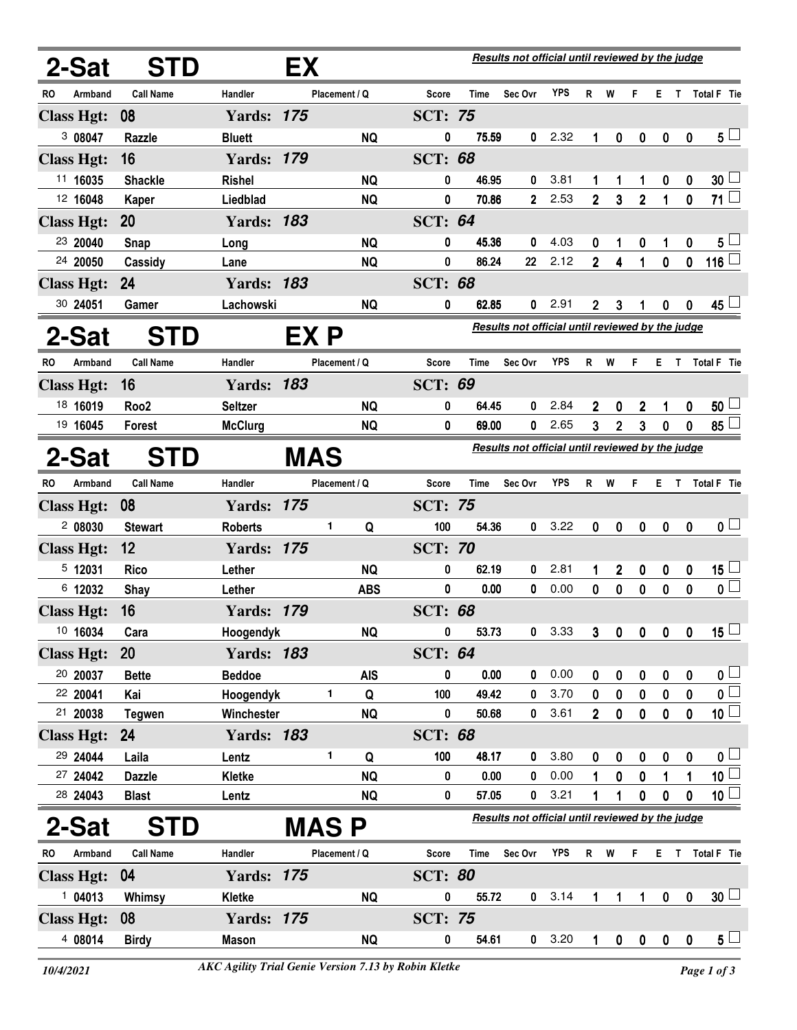|                   | 2-Sat             | <b>STD</b>       | Results not official until reviewed by the judge<br>EX |              |               |            |                |                                                  |                                                         |            |                |              |                  |                         |                         |                          |  |
|-------------------|-------------------|------------------|--------------------------------------------------------|--------------|---------------|------------|----------------|--------------------------------------------------|---------------------------------------------------------|------------|----------------|--------------|------------------|-------------------------|-------------------------|--------------------------|--|
| RO                | Armband           | <b>Call Name</b> | Handler                                                |              | Placement / Q |            | Score          | Time                                             | Sec Ovr                                                 | YPS        | R              | W            | F                | E.                      | $\mathsf{T}$            | Total F Tie              |  |
| <b>Class Hgt:</b> |                   | 08               | <b>Yards: 175</b>                                      |              |               |            | <b>SCT: 75</b> |                                                  |                                                         |            |                |              |                  |                         |                         |                          |  |
|                   | 3 08047           | Razzle           | <b>Bluett</b>                                          |              |               | <b>NQ</b>  | 0              | 75.59                                            | 0                                                       | 2.32       | 1              | 0            | $\mathbf 0$      | $\boldsymbol{0}$        | $\bf{0}$                | $5\perp$                 |  |
| <b>Class Hgt:</b> |                   | 16               | <b>Yards: 179</b>                                      |              |               |            | <b>SCT: 68</b> |                                                  |                                                         |            |                |              |                  |                         |                         |                          |  |
|                   | 11 16035          | <b>Shackle</b>   | <b>Rishel</b>                                          |              |               | <b>NQ</b>  | 0              | 46.95                                            | 0                                                       | 3.81       | 1              | 1            | 1                | 0                       | 0                       | $30\perp$                |  |
|                   | 12 16048          | <b>Kaper</b>     | Liedblad                                               |              |               | <b>NQ</b>  | 0              | 70.86                                            | $\mathbf{2}$                                            | 2.53       | $\overline{2}$ | 3            | $\overline{2}$   | 1                       | 0                       | $71 \Box$                |  |
| <b>Class Hgt:</b> |                   | <b>20</b>        | <b>Yards: 183</b>                                      |              |               |            | <b>SCT: 64</b> |                                                  |                                                         |            |                |              |                  |                         |                         |                          |  |
|                   | 23 20040          | Snap             | Long                                                   |              |               | <b>NQ</b>  | 0              | 45.36                                            | 0                                                       | 4.03       | 0              | 1            | 0                | 1                       | 0                       | 5 <sub>1</sub>           |  |
|                   | 24 20050          | Cassidy          | Lane                                                   |              |               | <b>NQ</b>  | 0              | 86.24                                            | 22                                                      | 2.12       | $\overline{2}$ | 4            | 1                | 0                       | 0                       | 116 $\Box$               |  |
|                   | <b>Class Hgt:</b> | 24               | <b>Yards: 183</b>                                      |              |               |            | <b>SCT: 68</b> |                                                  |                                                         |            |                |              |                  |                         |                         |                          |  |
|                   | 30 24051          | Gamer            | Lachowski                                              |              |               | <b>NQ</b>  | 0              | 62.85                                            | 0                                                       | 2.91       | 2              | 3            |                  | 0                       | 0                       | 45 └                     |  |
|                   | 2-Sat             | <b>STD</b>       |                                                        | EX P         |               |            |                |                                                  | <b>Results not official until reviewed by the judge</b> |            |                |              |                  |                         |                         |                          |  |
| RO.               | Armband           | <b>Call Name</b> | <b>Handler</b>                                         |              | Placement / Q |            | Score          | Time                                             | Sec Ovr                                                 | YPS        | R              | W            | F                | E                       | $\mathbf{T}$            | <b>Total F</b> Tie       |  |
|                   | <b>Class Hgt:</b> | 16               | <b>Yards: 183</b>                                      |              |               |            | <b>SCT: 69</b> |                                                  |                                                         |            |                |              |                  |                         |                         |                          |  |
|                   | 18 16019          | Roo <sub>2</sub> | <b>Seltzer</b>                                         |              |               | <b>NQ</b>  | 0              | 64.45                                            | 0                                                       | 2.84       | 2              | 0            | 2                | 1                       | 0                       | $50\perp$                |  |
|                   | 19 16045          | Forest           | <b>McClurg</b>                                         |              |               | <b>NQ</b>  | 0              | 69.00                                            | 0                                                       | 2.65       | 3              | 2            | 3                | 0                       | 0                       | 85 <sup>1</sup>          |  |
|                   | 2-Sat             | <b>STD</b>       |                                                        | <b>MAS</b>   |               |            |                | Results not official until reviewed by the judge |                                                         |            |                |              |                  |                         |                         |                          |  |
| RO.               | Armband           | <b>Call Name</b> | Handler                                                |              | Placement / Q |            | Score          | Time                                             | Sec Ovr                                                 | <b>YPS</b> | R              | W            | F                | Е.                      | $\mathsf{T}$            | Total F Tie              |  |
|                   | <b>Class Hgt:</b> | 08               | <b>Yards: 175</b>                                      |              |               |            | <b>SCT: 75</b> |                                                  |                                                         |            |                |              |                  |                         |                         |                          |  |
|                   | 2 08030           | <b>Stewart</b>   | <b>Roberts</b>                                         |              | 1             | Q          | 100            | 54.36                                            | 0                                                       | 3.22       | 0              | 0            | $\boldsymbol{0}$ | 0                       | $\mathbf{0}$            | 0 <sub>1</sub>           |  |
|                   | <b>Class Hgt:</b> | 12               | <b>Yards: 175</b>                                      |              |               |            | <b>SCT: 70</b> |                                                  |                                                         |            |                |              |                  |                         |                         |                          |  |
|                   | 5 12031           | <b>Rico</b>      | Lether                                                 |              |               | <b>NQ</b>  | 0              | 62.19                                            | 0                                                       | 2.81       | 1              | $\mathbf 2$  | 0                | 0                       | 0                       | $15\perp$                |  |
|                   | 6 12032           | Shay             | Lether                                                 |              |               | <b>ABS</b> | 0              | 0.00                                             | 0                                                       | 0.00       | 0              | 0            | 0                | 0                       | 0                       | $\mathfrak{o} \sqsubset$ |  |
|                   | <b>Class Hgt:</b> | 16               | <b>Yards: 179</b>                                      |              |               |            | <b>SCT: 68</b> |                                                  |                                                         |            |                |              |                  |                         |                         |                          |  |
|                   | 10 16034          | Cara             | Hoogendyk                                              |              |               | <b>NQ</b>  | 0              | 53.73                                            | 0                                                       | 3.33       | 3              | 0            | $\mathbf 0$      | $\overline{\mathbf{0}}$ | $\overline{\mathbf{0}}$ | 15 $\Box$                |  |
|                   | <b>Class Hgt:</b> | <b>20</b>        | <b>Yards: 183</b>                                      |              |               |            | <b>SCT: 64</b> |                                                  |                                                         |            |                |              |                  |                         |                         |                          |  |
|                   | 20 20037          | <b>Bette</b>     | <b>Beddoe</b>                                          |              |               | <b>AIS</b> | 0              | 0.00                                             | 0                                                       | 0.00       | 0              | 0            | 0                | 0                       | 0                       | 0 <sub>1</sub>           |  |
|                   | 22 20041          | Kai              | Hoogendyk                                              |              | 1             | Q          | 100            | 49.42                                            | 0                                                       | 3.70       | 0              | 0            | 0                | 0                       | 0                       | $\overline{\mathbf{0}}$  |  |
|                   | 21 20038          | <b>Tegwen</b>    | Winchester                                             |              |               | <b>NQ</b>  | 0              | 50.68                                            | 0                                                       | 3.61       | $\overline{2}$ | $\mathbf 0$  | $\mathbf 0$      | 0                       | 0                       | $\overline{10}$          |  |
|                   | <b>Class Hgt:</b> | <b>24</b>        | <b>Yards: 183</b>                                      |              |               |            | <b>SCT: 68</b> |                                                  |                                                         |            |                |              |                  |                         |                         |                          |  |
|                   | 29 24044          | Laila            | Lentz                                                  |              | 1             | Q          | 100            | 48.17                                            | 0                                                       | 3.80       | 0              | 0            | 0                | 0                       | 0                       | 0 <sub>0</sub>           |  |
|                   | 27 24042          | <b>Dazzle</b>    | Kletke                                                 |              |               | <b>NQ</b>  | 0              | 0.00                                             | 0                                                       | 0.00       | 1              | 0            | 0                | 1                       | 1                       | $\overline{10}$          |  |
|                   | 28 24043          | <b>Blast</b>     | Lentz                                                  |              |               | <b>NQ</b>  | 0              | 57.05                                            | 0                                                       | 3.21       | 1              | 1            | $\mathbf 0$      | $\boldsymbol{0}$        | 0                       | 10 $\lfloor$             |  |
|                   | 2-Sat             | <b>STD</b>       |                                                        | <b>MAS P</b> |               |            |                |                                                  | Results not official until reviewed by the judge        |            |                |              |                  |                         |                         |                          |  |
| RO                | Armband           | <b>Call Name</b> | Handler                                                |              | Placement / Q |            | Score          | Time                                             | Sec Ovr                                                 | YPS        |                | R W          | F                | E.                      |                         | T Total F Tie            |  |
|                   | <b>Class Hgt:</b> | 04               | <b>Yards: 175</b>                                      |              |               |            | <b>SCT: 80</b> |                                                  |                                                         |            |                |              |                  |                         |                         |                          |  |
|                   | 104013            | Whimsy           | Kletke                                                 |              |               | <b>NQ</b>  | 0              | 55.72                                            | 0                                                       | 3.14       | 1              | 1            | 1                | $\pmb{0}$               | $\mathbf 0$             | 30 <sup>1</sup>          |  |
|                   | <b>Class Hgt:</b> | 08               | <b>Yards: 175</b>                                      |              |               |            | <b>SCT: 75</b> |                                                  |                                                         |            |                |              |                  |                         |                         |                          |  |
|                   | 4 08014           | <b>Birdy</b>     | Mason                                                  |              |               | <b>NQ</b>  | 0              | 54.61                                            | $\mathbf{0}$                                            | 3.20       | 1              | $\mathbf{0}$ | $\mathbf{0}$     | $\mathbf 0$             | $\mathbf 0$             | 5 <sub>1</sub>           |  |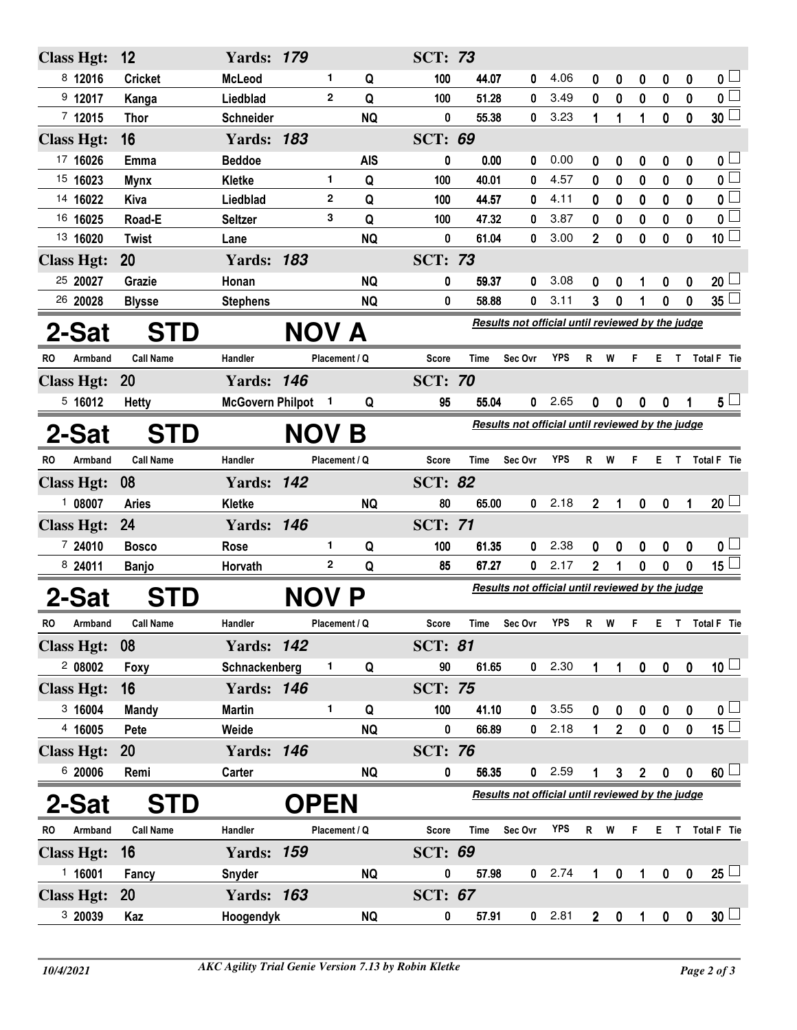| <b>Class Hgt:</b> | 12               | <b>Yards: 179</b>       |                |               | <b>SCT: 73</b>                                   |                                                  |             |            |                |                |                |                  |                  |                         |  |
|-------------------|------------------|-------------------------|----------------|---------------|--------------------------------------------------|--------------------------------------------------|-------------|------------|----------------|----------------|----------------|------------------|------------------|-------------------------|--|
| 8 12016           | <b>Cricket</b>   | <b>McLeod</b>           | 1              | Q             | 100                                              | 44.07                                            | 0           | 4.06       | 0              | 0              | 0              | 0                | 0                | 0 <sub>1</sub>          |  |
| $9$ 12017         | Kanga            | Liedblad                | $\mathbf{2}$   | Q             | 100                                              | 51.28                                            | 0           | 3.49       | $\mathbf 0$    | $\bf{0}$       | 0              | $\bf{0}$         | $\mathbf 0$      | $\overline{\mathbf{0}}$ |  |
| 712015            | <b>Thor</b>      | Schneider               |                | <b>NQ</b>     | 0                                                | 55.38                                            | 0           | 3.23       | 1              | 1              | 1              | 0                | 0                | 30 <sup>2</sup>         |  |
| <b>Class Hgt:</b> | 16               | <b>Yards: 183</b>       |                |               | <b>SCT: 69</b>                                   |                                                  |             |            |                |                |                |                  |                  |                         |  |
| 17 16026          | Emma             | <b>Beddoe</b>           |                | <b>AIS</b>    | 0                                                | 0.00                                             | 0           | 0.00       | 0              | 0              | 0              | 0                | 0                | 0 <sub>1</sub>          |  |
| 15 16023          | <b>Mynx</b>      | Kletke                  | 1              | Q             | 100                                              | 40.01                                            | 0           | 4.57       | 0              | 0              | 0              | 0                | 0                | $\overline{\mathbf{0}}$ |  |
| 14 16022          | Kiva             | Liedblad                | $\mathbf{2}$   | Q             | 100                                              | 44.57                                            | 0           | 4.11       | 0              | $\bf{0}$       | 0              | 0                | 0                | 0 <sub>0</sub>          |  |
| 16 16025          | Road-E           | <b>Seltzer</b>          | 3              | Q             | 100                                              | 47.32                                            | 0           | 3.87       | 0              | 0              | 0              | 0                | 0                | $\overline{\mathbf{0}}$ |  |
| 13 16020          | <b>Twist</b>     | Lane                    |                | <b>NQ</b>     | 0                                                | 61.04                                            | 0           | 3.00       | $\overline{2}$ | $\mathbf{0}$   | 0              | $\mathbf 0$      | 0                | 10 <sup>1</sup>         |  |
| <b>Class Hgt:</b> | 20               | <b>Yards: 183</b>       |                |               | <b>SCT: 73</b>                                   |                                                  |             |            |                |                |                |                  |                  |                         |  |
| 25 20027          | Grazie           | Honan                   |                | <b>NQ</b>     | 0                                                | 59.37                                            | 0           | 3.08       | 0              | 0              |                | 0                | 0                | $20\perp$               |  |
| 26 20028          | <b>Blysse</b>    | <b>Stephens</b>         |                | <b>NQ</b>     | 0                                                | 58.88                                            | 0           | 3.11       | 3              | 0              |                | 0                | 0                | $35\perp$               |  |
| 2-Sat             | <b>STD</b>       |                         | <b>NOV A</b>   |               |                                                  | Results not official until reviewed by the judge |             |            |                |                |                |                  |                  |                         |  |
| RO<br>Armband     | <b>Call Name</b> | Handler                 |                | Placement / Q | <b>Score</b>                                     | Time                                             | Sec Ovr     | <b>YPS</b> | R <sub>1</sub> | W              | F              |                  |                  | E T Total F Tie         |  |
| <b>Class Hgt:</b> | 20               | <b>Yards: 146</b>       |                |               | <b>SCT: 70</b>                                   |                                                  |             |            |                |                |                |                  |                  |                         |  |
| 5,16012           | <b>Hetty</b>     | <b>McGovern Philpot</b> | $\blacksquare$ | Q             | 95                                               | 55.04                                            | 0           | 2.65       | $\mathbf{0}$   | 0              | 0              | 0                | 1                | $5\perp$                |  |
| 2-Sat             | <b>STD</b>       |                         | <b>NOV B</b>   |               |                                                  | Results not official until reviewed by the judge |             |            |                |                |                |                  |                  |                         |  |
| RO<br>Armband     | <b>Call Name</b> | Handler                 |                | Placement / Q | <b>Score</b>                                     | Time                                             | Sec Ovr     | YPS        | R              | W              | F              | Е                | $\mathsf{T}$     | Total F Tie             |  |
| <b>Class Hgt:</b> | 08               | <b>Yards: 142</b>       |                |               | <b>SCT: 82</b>                                   |                                                  |             |            |                |                |                |                  |                  |                         |  |
| 1 08007           | <b>Aries</b>     | Kletke                  |                | <b>NQ</b>     | 80                                               | 65.00                                            | 0           | 2.18       | $\overline{2}$ | 1              | $\mathbf 0$    | $\mathbf{0}$     | 1                | $20$ $\Box$             |  |
| <b>Class Hgt:</b> | 24               | <b>Yards: 146</b>       |                |               | <b>SCT: 71</b>                                   |                                                  |             |            |                |                |                |                  |                  |                         |  |
| 7 24010           | <b>Bosco</b>     | <b>Rose</b>             | 1              | Q             | 100                                              | 61.35                                            | 0           | 2.38       | 0              | 0              | 0              | 0                | 0                | 0 <sub>1</sub>          |  |
| 8 24011           | <b>Banjo</b>     | Horvath                 | 2              | Q             | 85                                               | 67.27                                            | 0           | 2.17       | $\mathbf{2}$   | 1              | $\mathbf 0$    | 0                | $\mathbf 0$      | 15 $\lfloor$            |  |
| 2-Sat             | TD               |                         | <b>NOV</b>     | P             |                                                  | Results not official until reviewed by the judge |             |            |                |                |                |                  |                  |                         |  |
| RO<br>Armband     | <b>Call Name</b> | Handler                 |                | Placement / Q | Score                                            | Time                                             | Sec Ovr     | <b>YPS</b> | R              | W              | F              | Е                | $\mathbf{T}$     | Total F Tie             |  |
| <b>Class Hgt:</b> | 08               | <b>Yards: 142</b>       |                |               | <b>SCT: 81</b>                                   |                                                  |             |            |                |                |                |                  |                  |                         |  |
| 208002            | Foxy             | Schnackenberg           | 1              | Q             | 90                                               | 61.65                                            |             | 0 2.30     | 1              | 1              | $\pmb{0}$      | $\pmb{0}$        | $\pmb{0}$        | $10\sqcup$              |  |
| <b>Class Hgt:</b> | 16               | <b>Yards: 146</b>       |                |               | <b>SCT: 75</b>                                   |                                                  |             |            |                |                |                |                  |                  |                         |  |
| 3 16004           | <b>Mandy</b>     | <b>Martin</b>           | 1              | Q             | 100                                              | 41.10                                            | 0           | 3.55       | 0              | 0              | $\mathbf 0$    | 0                | 0                | $\mathfrak{o} \sqcup$   |  |
| 4 16005           | Pete             | Weide                   |                | <b>NQ</b>     | 0                                                | 66.89                                            | $\mathbf 0$ | 2.18       | 1              | $\overline{2}$ | $\pmb{0}$      | $\pmb{0}$        | $\pmb{0}$        | $15\Box$                |  |
| <b>Class Hgt:</b> | 20               | <b>Yards: 146</b>       |                |               | <b>SCT: 76</b>                                   |                                                  |             |            |                |                |                |                  |                  |                         |  |
| 6 20006           | Remi             | Carter                  |                | <b>NQ</b>     | 0                                                | 56.35                                            | $\mathbf 0$ | 2.59       |                | 3              | $\overline{2}$ | $\mathbf 0$      | 0                | $60\perp$               |  |
| 2-Sat             | <b>STD</b>       |                         |                |               | Results not official until reviewed by the judge |                                                  |             |            |                |                |                |                  |                  |                         |  |
| Armband<br>RO     | <b>Call Name</b> | Handler                 |                | Placement / Q | <b>Score</b>                                     | <b>Time</b>                                      | Sec Ovr     | <b>YPS</b> | R              | W              | F              |                  |                  | E T Total F Tie         |  |
| <b>Class Hgt:</b> | 16               | <b>Yards: 159</b>       |                |               | <b>SCT: 69</b>                                   |                                                  |             |            |                |                |                |                  |                  |                         |  |
| 116001            | Fancy            | <b>Snyder</b>           |                | <b>NQ</b>     | 0                                                | 57.98                                            |             | $0$ 2.74   |                | 0              |                | $\boldsymbol{0}$ | $\boldsymbol{0}$ | $25 \Box$               |  |
| <b>Class Hgt:</b> | 20               | <b>Yards: 163</b>       |                |               | <b>SCT: 67</b>                                   |                                                  |             |            |                |                |                |                  |                  |                         |  |
| 3 20039           | Kaz              | Hoogendyk               |                | <b>NQ</b>     | 0                                                | 57.91                                            | 0           | 2.81       | $\overline{2}$ | 0              | 1              | 0                | $\mathbf 0$      | 30 <sup>1</sup>         |  |